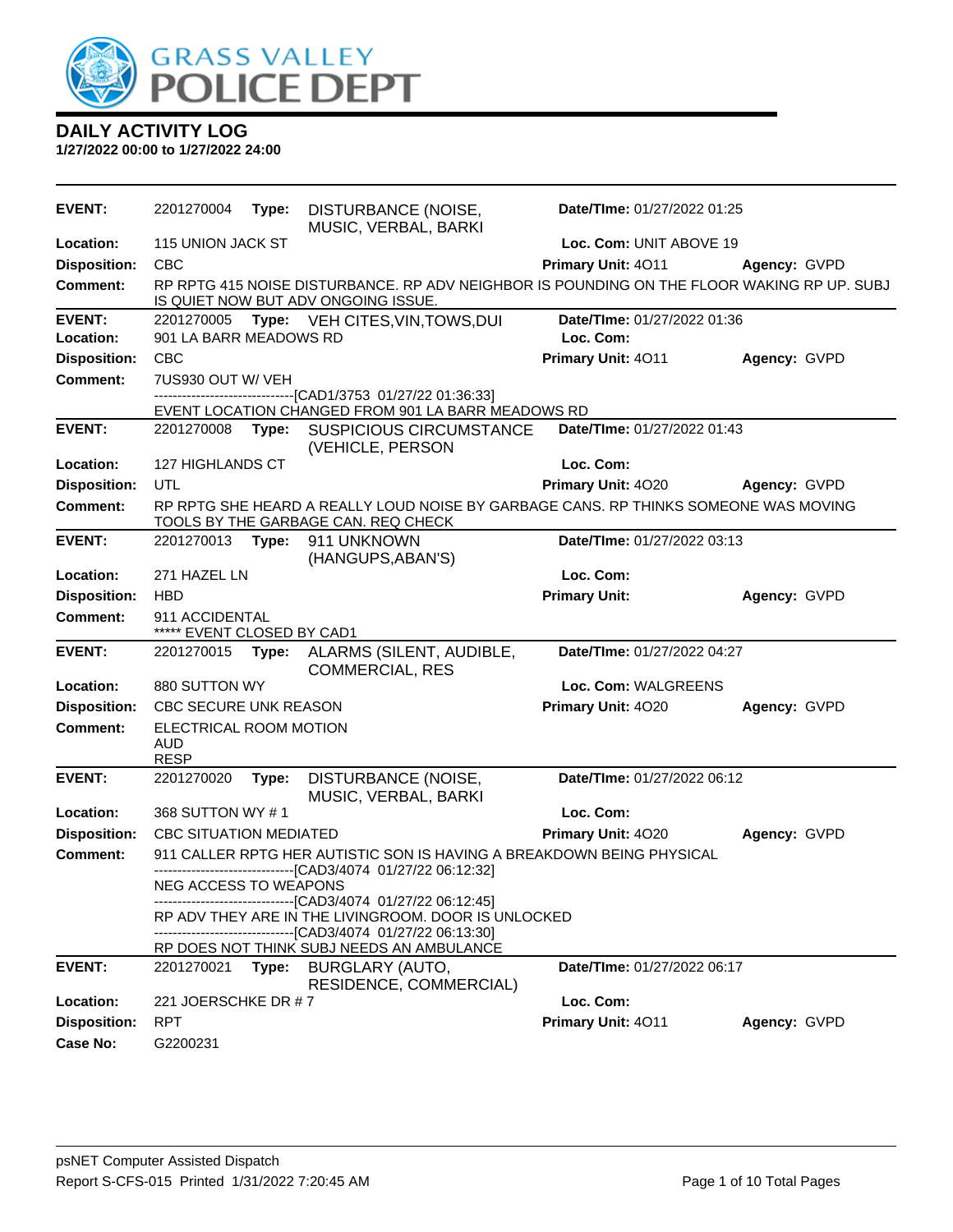

| <b>EVENT:</b>              | 2201270004                                                                                                                        | Type: | DISTURBANCE (NOISE,<br>MUSIC, VERBAL, BARKI                                                                                | Date/TIme: 01/27/2022 01:25              |              |  |
|----------------------------|-----------------------------------------------------------------------------------------------------------------------------------|-------|----------------------------------------------------------------------------------------------------------------------------|------------------------------------------|--------------|--|
| Location:                  | 115 UNION JACK ST                                                                                                                 |       |                                                                                                                            | Loc. Com: UNIT ABOVE 19                  |              |  |
| <b>Disposition:</b>        | <b>CBC</b>                                                                                                                        |       |                                                                                                                            | Primary Unit: 4011                       | Agency: GVPD |  |
| <b>Comment:</b>            | RP RPTG 415 NOISE DISTURBANCE. RP ADV NEIGHBOR IS POUNDING ON THE FLOOR WAKING RP UP. SUBJ<br>IS QUIET NOW BUT ADV ONGOING ISSUE. |       |                                                                                                                            |                                          |              |  |
| <b>EVENT:</b><br>Location: | 2201270005<br>Type: VEH CITES, VIN, TOWS, DUI<br>901 LA BARR MEADOWS RD                                                           |       |                                                                                                                            | Date/TIme: 01/27/2022 01:36<br>Loc. Com: |              |  |
| <b>Disposition:</b>        | CBC                                                                                                                               |       |                                                                                                                            | Primary Unit: 4011                       | Agency: GVPD |  |
| <b>Comment:</b>            | 7US930 OUT W/ VEH                                                                                                                 |       |                                                                                                                            |                                          |              |  |
|                            |                                                                                                                                   |       | -----------------------------------[CAD1/3753 01/27/22 01:36:33]<br>EVENT LOCATION CHANGED FROM 901 LA BARR MEADOWS RD     |                                          |              |  |
| <b>EVENT:</b>              | 2201270008 Type:                                                                                                                  |       | SUSPICIOUS CIRCUMSTANCE<br>(VEHICLE, PERSON                                                                                | Date/TIme: 01/27/2022 01:43              |              |  |
| Location:                  | 127 HIGHLANDS CT                                                                                                                  |       |                                                                                                                            | Loc. Com:                                |              |  |
| <b>Disposition:</b>        | UTL                                                                                                                               |       |                                                                                                                            | Primary Unit: 4020                       | Agency: GVPD |  |
| <b>Comment:</b>            |                                                                                                                                   |       | RP RPTG SHE HEARD A REALLY LOUD NOISE BY GARBAGE CANS. RP THINKS SOMEONE WAS MOVING<br>TOOLS BY THE GARBAGE CAN. REQ CHECK |                                          |              |  |
| <b>EVENT:</b>              | 2201270013                                                                                                                        | Type: | 911 UNKNOWN<br>(HANGUPS, ABAN'S)                                                                                           | Date/TIme: 01/27/2022 03:13              |              |  |
| Location:                  | 271 HAZEL LN                                                                                                                      |       |                                                                                                                            | Loc. Com:                                |              |  |
| <b>Disposition:</b>        | <b>HBD</b>                                                                                                                        |       |                                                                                                                            | <b>Primary Unit:</b>                     | Agency: GVPD |  |
| <b>Comment:</b>            | 911 ACCIDENTAL<br>***** EVENT CLOSED BY CAD1                                                                                      |       |                                                                                                                            |                                          |              |  |
| <b>EVENT:</b>              | 2201270015                                                                                                                        | Type: | ALARMS (SILENT, AUDIBLE,<br><b>COMMERCIAL, RES</b>                                                                         | Date/TIme: 01/27/2022 04:27              |              |  |
| Location:                  | 880 SUTTON WY                                                                                                                     |       |                                                                                                                            | Loc. Com: WALGREENS                      |              |  |
| <b>Disposition:</b>        | CBC SECURE UNK REASON                                                                                                             |       |                                                                                                                            | Primary Unit: 4020                       | Agency: GVPD |  |
| <b>Comment:</b>            | ELECTRICAL ROOM MOTION<br><b>AUD</b><br><b>RESP</b>                                                                               |       |                                                                                                                            |                                          |              |  |
| <b>EVENT:</b>              | 2201270020                                                                                                                        | Type: | DISTURBANCE (NOISE,<br>MUSIC, VERBAL, BARKI                                                                                | Date/TIme: 01/27/2022 06:12              |              |  |
| Location:                  | 368 SUTTON WY #1                                                                                                                  |       |                                                                                                                            | Loc. Com:                                |              |  |
| <b>Disposition:</b>        | <b>CBC SITUATION MEDIATED</b>                                                                                                     |       |                                                                                                                            | Primary Unit: 4020                       | Agency: GVPD |  |
| <b>Comment:</b>            |                                                                                                                                   |       | 911 CALLER RPTG HER AUTISTIC SON IS HAVING A BREAKDOWN BEING PHYSICAL                                                      |                                          |              |  |
|                            | -------------------------[CAD3/4074_01/27/22 06:12:32]<br>NEG ACCESS TO WEAPONS                                                   |       |                                                                                                                            |                                          |              |  |
|                            |                                                                                                                                   |       | ------------------------------[CAD3/4074 01/27/22 06:12:45]<br>RP ADV THEY ARE IN THE LIVINGROOM. DOOR IS UNLOCKED         |                                          |              |  |
|                            |                                                                                                                                   |       | -------------------------------[CAD3/4074 01/27/22 06:13:30]<br>RP DOES NOT THINK SUBJ NEEDS AN AMBULANCE                  |                                          |              |  |
| <b>EVENT:</b>              | 2201270021                                                                                                                        | Type: | <b>BURGLARY (AUTO,</b>                                                                                                     | Date/TIme: 01/27/2022 06:17              |              |  |
| Location:                  | 221 JOERSCHKE DR #7                                                                                                               |       | RESIDENCE, COMMERCIAL)                                                                                                     | Loc. Com:                                |              |  |
| <b>Disposition:</b>        | <b>RPT</b>                                                                                                                        |       |                                                                                                                            | Primary Unit: 4011                       | Agency: GVPD |  |
| Case No:                   | G2200231                                                                                                                          |       |                                                                                                                            |                                          |              |  |
|                            |                                                                                                                                   |       |                                                                                                                            |                                          |              |  |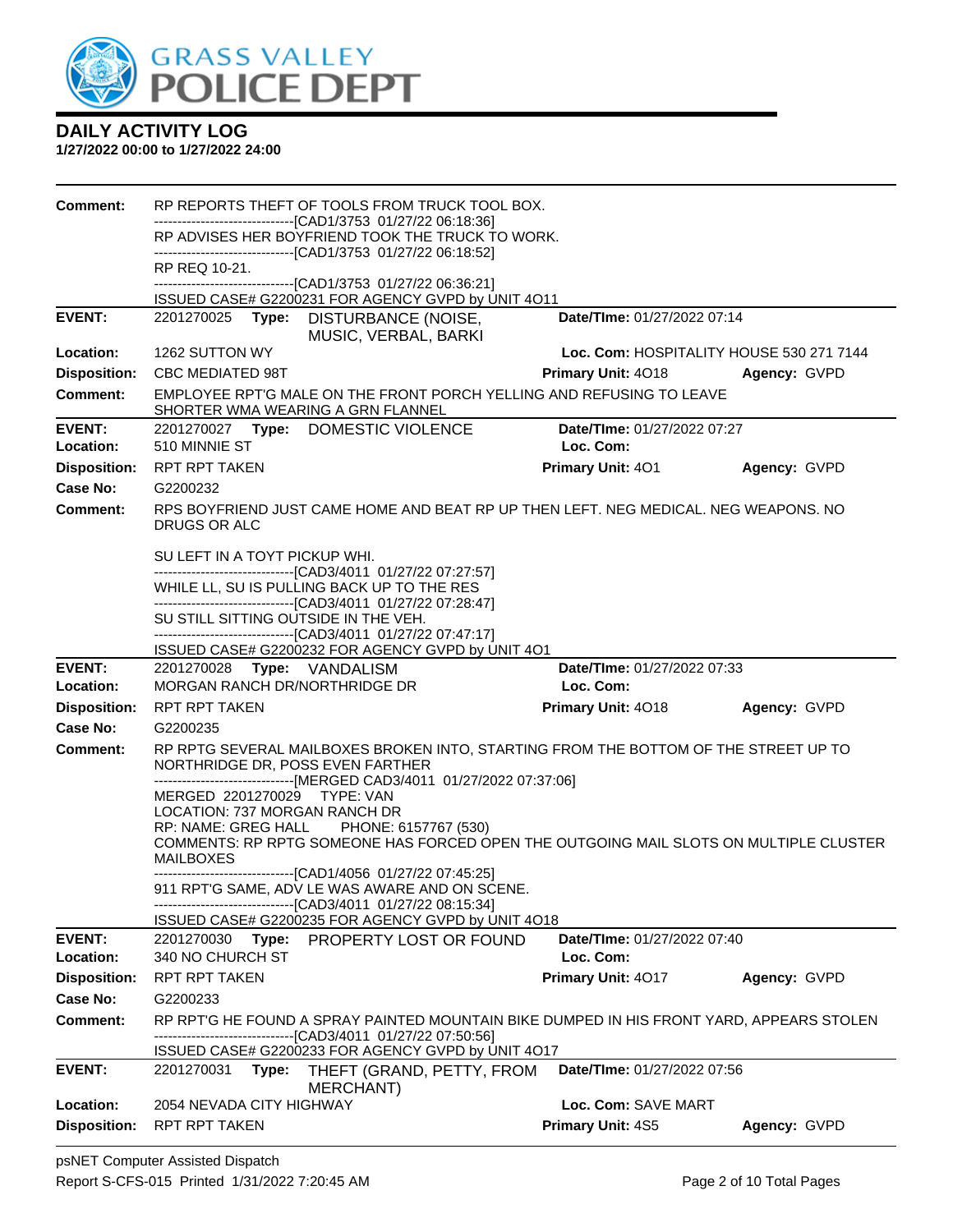

| Comment:                               | RP REPORTS THEFT OF TOOLS FROM TRUCK TOOL BOX.                                                                                                        |                                                 |              |
|----------------------------------------|-------------------------------------------------------------------------------------------------------------------------------------------------------|-------------------------------------------------|--------------|
|                                        | --------------------------------[CAD1/3753 01/27/22 06:18:36]<br>RP ADVISES HER BOYFRIEND TOOK THE TRUCK TO WORK.                                     |                                                 |              |
|                                        | --------------------------------[CAD1/3753 01/27/22 06:18:52]                                                                                         |                                                 |              |
|                                        | RP REQ 10-21.<br>-------------------------------[CAD1/3753 01/27/22 06:36:21]                                                                         |                                                 |              |
|                                        | ISSUED CASE# G2200231 FOR AGENCY GVPD by UNIT 4O11                                                                                                    |                                                 |              |
| <b>EVENT:</b>                          | Type:<br>DISTURBANCE (NOISE,<br>2201270025<br>MUSIC, VERBAL, BARKI                                                                                    | Date/TIme: 01/27/2022 07:14                     |              |
| Location:                              | 1262 SUTTON WY                                                                                                                                        | Loc. Com: HOSPITALITY HOUSE 530 271 7144        |              |
| <b>Disposition:</b>                    | <b>CBC MEDIATED 98T</b>                                                                                                                               | <b>Primary Unit: 4018</b>                       | Agency: GVPD |
| <b>Comment:</b>                        | EMPLOYEE RPT'G MALE ON THE FRONT PORCH YELLING AND REFUSING TO LEAVE<br>SHORTER WMA WEARING A GRN FLANNEL                                             |                                                 |              |
| <b>EVENT:</b><br>Location:             | 2201270027 Type: DOMESTIC VIOLENCE<br>510 MINNIE ST                                                                                                   | <b>Date/TIme: 01/27/2022 07:27</b><br>Loc. Com: |              |
| <b>Disposition:</b>                    | RPT RPT TAKEN                                                                                                                                         | <b>Primary Unit: 401</b>                        | Agency: GVPD |
| Case No:                               | G2200232                                                                                                                                              |                                                 |              |
| <b>Comment:</b>                        | RPS BOYFRIEND JUST CAME HOME AND BEAT RP UP THEN LEFT. NEG MEDICAL. NEG WEAPONS. NO<br>DRUGS OR ALC                                                   |                                                 |              |
|                                        | SU LEFT IN A TOYT PICKUP WHI.                                                                                                                         |                                                 |              |
|                                        | -------------------------------[CAD3/4011 01/27/22 07:27:57]<br>WHILE LL, SU IS PULLING BACK UP TO THE RES                                            |                                                 |              |
|                                        | -------------------------------[CAD3/4011 01/27/22 07:28:47]<br>SU STILL SITTING OUTSIDE IN THE VEH.                                                  |                                                 |              |
|                                        | --------------------------------[CAD3/4011 01/27/22 07:47:17]<br>ISSUED CASE# G2200232 FOR AGENCY GVPD by UNIT 4O1                                    |                                                 |              |
| <b>EVENT:</b>                          | 2201270028 Type: VANDALISM                                                                                                                            | Date/TIme: 01/27/2022 07:33                     |              |
| Location:                              | MORGAN RANCH DR/NORTHRIDGE DR                                                                                                                         | Loc. Com:                                       |              |
| <b>Disposition:</b>                    | <b>RPT RPT TAKEN</b>                                                                                                                                  | Primary Unit: 4018                              | Agency: GVPD |
| Case No:                               | G2200235                                                                                                                                              |                                                 |              |
|                                        |                                                                                                                                                       |                                                 |              |
| Comment:                               | RP RPTG SEVERAL MAILBOXES BROKEN INTO, STARTING FROM THE BOTTOM OF THE STREET UP TO<br>NORTHRIDGE DR, POSS EVEN FARTHER                               |                                                 |              |
|                                        | ----------------------[MERGED CAD3/4011_01/27/2022 07:37:06]<br>MERGED 2201270029 TYPE: VAN                                                           |                                                 |              |
|                                        | LOCATION: 737 MORGAN RANCH DR                                                                                                                         |                                                 |              |
|                                        | RP: NAME: GREG HALL PHONE: 6157767 (530)<br>COMMENTS: RP RPTG SOMEONE HAS FORCED OPEN THE OUTGOING MAIL SLOTS ON MULTIPLE CLUSTER<br><b>MAILBOXES</b> |                                                 |              |
|                                        | -------------------------------[CAD1/4056 01/27/22 07:45:25]                                                                                          |                                                 |              |
|                                        | 911 RPT'G SAME, ADV LE WAS AWARE AND ON SCENE.<br>-------------------------------[CAD3/4011 01/27/22 08:15:34]                                        |                                                 |              |
|                                        | ISSUED CASE# G2200235 FOR AGENCY GVPD by UNIT 4O18                                                                                                    |                                                 |              |
| <b>EVENT:</b>                          | PROPERTY LOST OR FOUND<br>2201270030<br>Type:                                                                                                         | Date/TIme: 01/27/2022 07:40                     |              |
| Location:                              | 340 NO CHURCH ST<br>RPT RPT TAKEN                                                                                                                     | Loc. Com:                                       |              |
| <b>Disposition:</b><br><b>Case No:</b> | G2200233                                                                                                                                              | Primary Unit: 4017                              | Agency: GVPD |
| Comment:                               | RP RPT'G HE FOUND A SPRAY PAINTED MOUNTAIN BIKE DUMPED IN HIS FRONT YARD, APPEARS STOLEN<br>------------------------[CAD3/4011_01/27/22_07:50:56]     |                                                 |              |
|                                        | ISSUED CASE# G2200233 FOR AGENCY GVPD by UNIT 4O17                                                                                                    |                                                 |              |
| <b>EVENT:</b>                          | 2201270031<br>THEFT (GRAND, PETTY, FROM<br>Type:<br><b>MERCHANT)</b>                                                                                  | Date/TIme: 01/27/2022 07:56                     |              |
| Location:<br><b>Disposition:</b>       | 2054 NEVADA CITY HIGHWAY<br><b>RPT RPT TAKEN</b>                                                                                                      | Loc. Com: SAVE MART<br>Primary Unit: 4S5        | Agency: GVPD |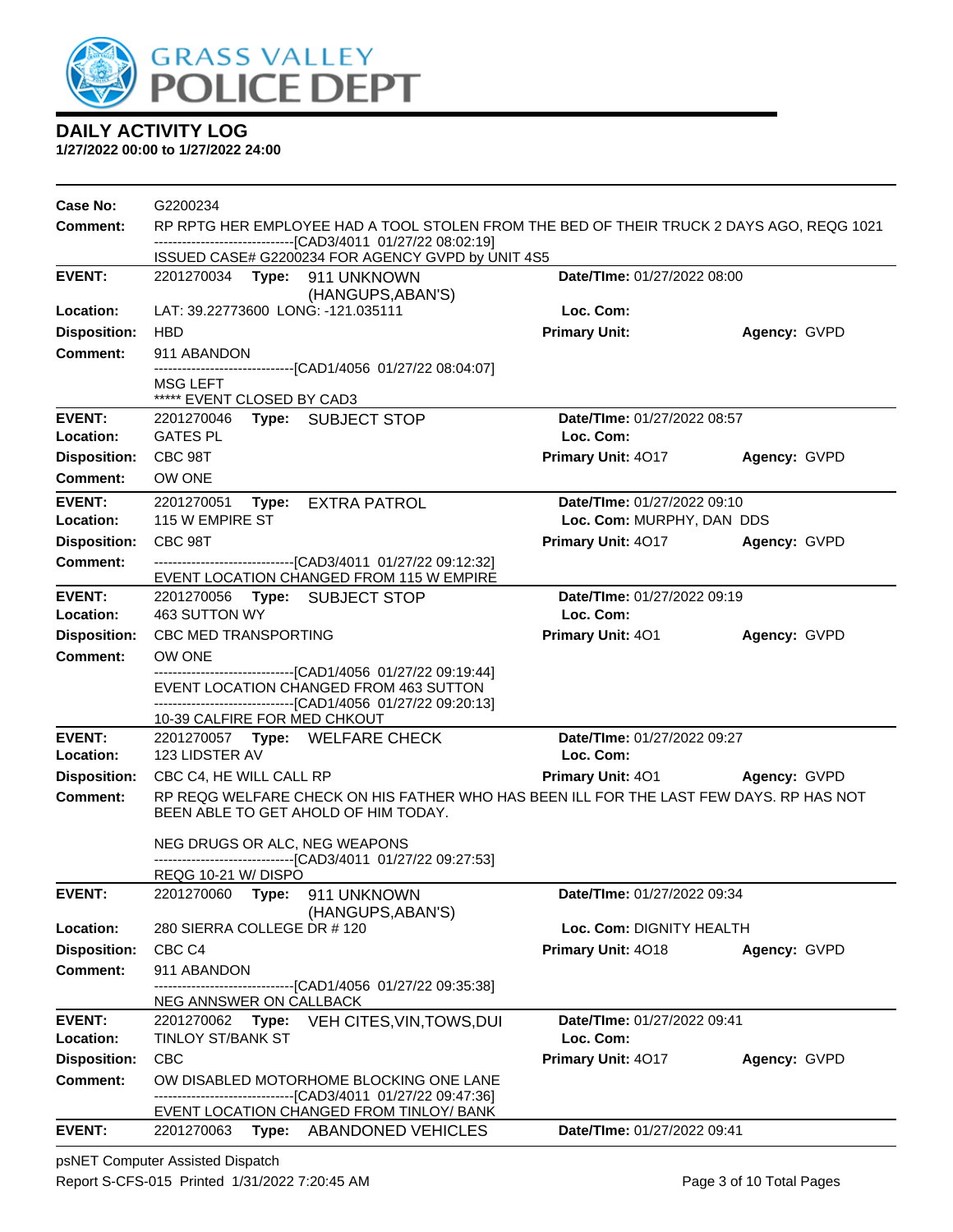

**1/27/2022 00:00 to 1/27/2022 24:00**

| Case No:                               | G2200234                                                                                                                                                  |                             |              |  |  |
|----------------------------------------|-----------------------------------------------------------------------------------------------------------------------------------------------------------|-----------------------------|--------------|--|--|
| <b>Comment:</b>                        | RP RPTG HER EMPLOYEE HAD A TOOL STOLEN FROM THE BED OF THEIR TRUCK 2 DAYS AGO, REQG 1021<br>--------------------------------[CAD3/4011 01/27/22 08:02:19] |                             |              |  |  |
|                                        | ISSUED CASE# G2200234 FOR AGENCY GVPD by UNIT 4S5                                                                                                         |                             |              |  |  |
| <b>EVENT:</b>                          | 2201270034 Type: 911 UNKNOWN                                                                                                                              | Date/TIme: 01/27/2022 08:00 |              |  |  |
| Location:                              | (HANGUPS, ABAN'S)<br>LAT: 39.22773600 LONG: -121.035111                                                                                                   | Loc. Com:                   |              |  |  |
| <b>Disposition:</b>                    | <b>HBD</b>                                                                                                                                                | <b>Primary Unit:</b>        | Agency: GVPD |  |  |
| <b>Comment:</b>                        | 911 ABANDON                                                                                                                                               |                             |              |  |  |
|                                        | -------------------------------[CAD1/4056 01/27/22 08:04:07]                                                                                              |                             |              |  |  |
|                                        | MSG LEFT<br>***** EVENT CLOSED BY CAD3                                                                                                                    |                             |              |  |  |
| <b>EVENT:</b>                          | 2201270046 Type: SUBJECT STOP                                                                                                                             | Date/TIme: 01/27/2022 08:57 |              |  |  |
| Location:                              | <b>GATES PL</b>                                                                                                                                           | Loc. Com:                   |              |  |  |
| <b>Disposition:</b>                    | CBC 98T                                                                                                                                                   | Primary Unit: 4017          | Agency: GVPD |  |  |
| <b>Comment:</b>                        | OW ONE                                                                                                                                                    |                             |              |  |  |
| <b>EVENT:</b>                          | 2201270051 Type: EXTRA PATROL                                                                                                                             | Date/TIme: 01/27/2022 09:10 |              |  |  |
| Location:                              | 115 W EMPIRE ST                                                                                                                                           | Loc. Com: MURPHY, DAN DDS   |              |  |  |
| <b>Disposition:</b>                    | CBC 98T                                                                                                                                                   | Primary Unit: 4017          | Agency: GVPD |  |  |
| <b>Comment:</b>                        | -------------------------------[CAD3/4011 01/27/22 09:12:32]                                                                                              |                             |              |  |  |
| <b>EVENT:</b>                          | EVENT LOCATION CHANGED FROM 115 W EMPIRE<br>2201270056 Type: SUBJECT STOP                                                                                 | Date/TIme: 01/27/2022 09:19 |              |  |  |
| Location:                              | 463 SUTTON WY                                                                                                                                             | Loc. Com:                   |              |  |  |
| <b>Disposition:</b>                    | CBC MED TRANSPORTING                                                                                                                                      | <b>Primary Unit: 401</b>    | Agency: GVPD |  |  |
| <b>Comment:</b>                        | OW ONE                                                                                                                                                    |                             |              |  |  |
|                                        | --------------------------------[CAD1/4056 01/27/22 09:19:44]<br>EVENT LOCATION CHANGED FROM 463 SUTTON                                                   |                             |              |  |  |
|                                        | --------------------------------[CAD1/4056 01/27/22 09:20:13]                                                                                             |                             |              |  |  |
|                                        | 10-39 CALFIRE FOR MED CHKOUT                                                                                                                              |                             |              |  |  |
| <b>EVENT:</b>                          | 2201270057 Type: WELFARE CHECK                                                                                                                            | Date/TIme: 01/27/2022 09:27 |              |  |  |
| Location:                              | 123 LIDSTER AV                                                                                                                                            | Loc. Com:                   |              |  |  |
| <b>Disposition:</b>                    | CBC C4, HE WILL CALL RP                                                                                                                                   | <b>Primary Unit: 401</b>    | Agency: GVPD |  |  |
| <b>Comment:</b>                        | RP REQG WELFARE CHECK ON HIS FATHER WHO HAS BEEN ILL FOR THE LAST FEW DAYS. RP HAS NOT<br>BEEN ABLE TO GET AHOLD OF HIM TODAY.                            |                             |              |  |  |
|                                        |                                                                                                                                                           |                             |              |  |  |
|                                        | NEG DRUGS OR ALC, NEG WEAPONS<br>-------------------------------[CAD3/4011 01/27/22 09:27:53]                                                             |                             |              |  |  |
|                                        | REQG 10-21 W/DISPO                                                                                                                                        |                             |              |  |  |
| <b>EVENT:</b>                          | 2201270060 Type: 911 UNKNOWN                                                                                                                              | Date/TIme: 01/27/2022 09:34 |              |  |  |
|                                        | (HANGUPS, ABAN'S)                                                                                                                                         |                             |              |  |  |
| Location:                              | 280 SIERRA COLLEGE DR # 120                                                                                                                               | Loc. Com: DIGNITY HEALTH    |              |  |  |
| <b>Disposition:</b><br><b>Comment:</b> | CBC <sub>C4</sub>                                                                                                                                         | Primary Unit: 4018          | Agency: GVPD |  |  |
|                                        | 911 ABANDON<br>--------------------------------[CAD1/4056 01/27/22 09:35:38]                                                                              |                             |              |  |  |
|                                        | NEG ANNSWER ON CALLBACK                                                                                                                                   |                             |              |  |  |
| <b>EVENT:</b>                          | 2201270062 Type: VEH CITES, VIN, TOWS, DUI                                                                                                                | Date/TIme: 01/27/2022 09:41 |              |  |  |
| Location:                              | <b>TINLOY ST/BANK ST</b>                                                                                                                                  | Loc. Com:                   |              |  |  |
| <b>Disposition:</b>                    | CBC                                                                                                                                                       | Primary Unit: 4017          | Agency: GVPD |  |  |
| <b>Comment:</b>                        | OW DISABLED MOTORHOME BLOCKING ONE LANE<br>--------------------------------[CAD3/4011 01/27/22 09:47:36]                                                  |                             |              |  |  |
|                                        | EVENT LOCATION CHANGED FROM TINLOY/ BANK                                                                                                                  |                             |              |  |  |
| <b>EVENT:</b>                          | 2201270063<br>Type: ABANDONED VEHICLES                                                                                                                    | Date/TIme: 01/27/2022 09:41 |              |  |  |

psNET Computer Assisted Dispatch Report S-CFS-015 Printed 1/31/2022 7:20:45 AM Page 3 of 10 Total Pages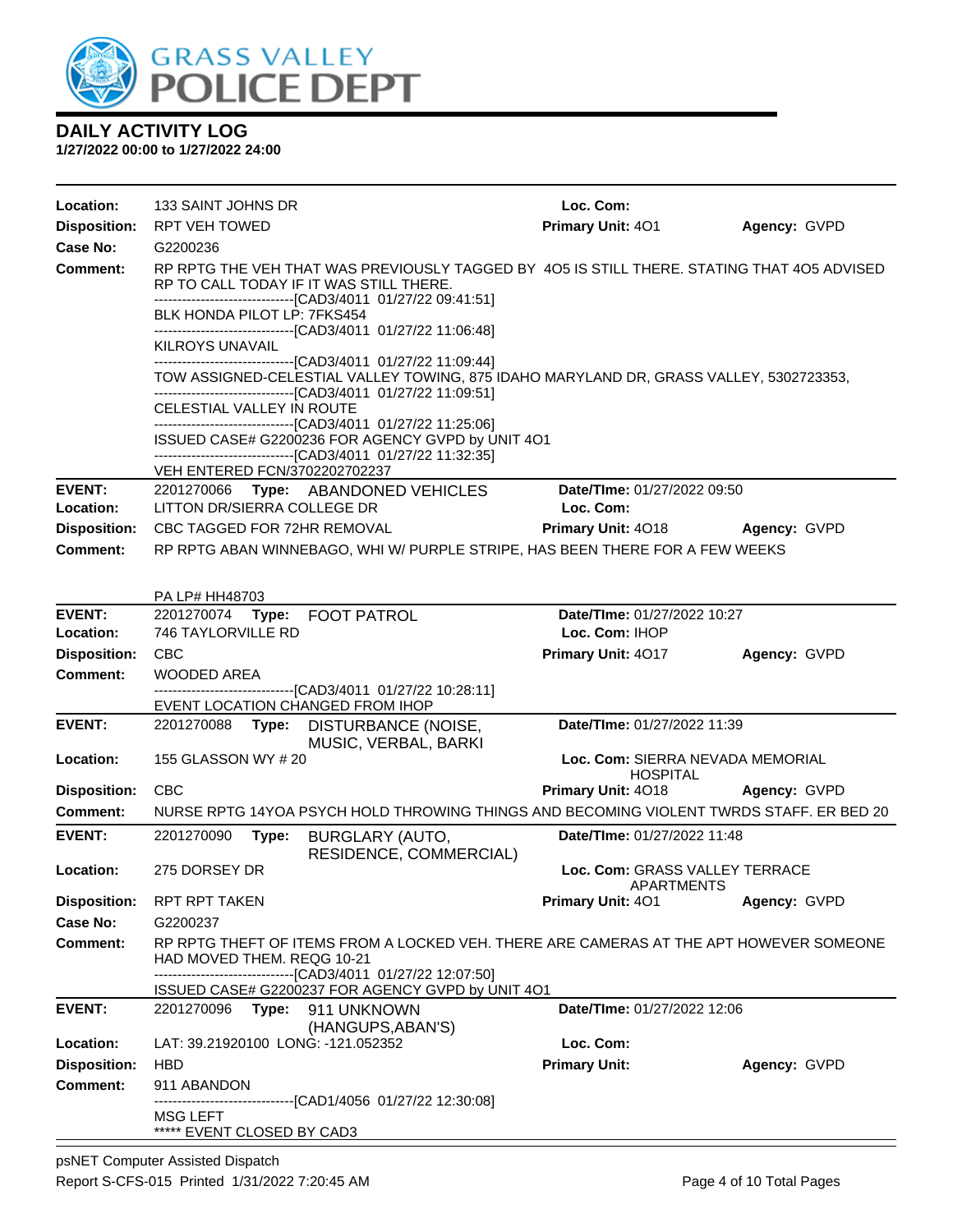

| Location:                  | 133 SAINT JOHNS DR                                                                                                                                     |                                                                                                                                                                                                        | Loc. Com:                                           |              |  |  |  |
|----------------------------|--------------------------------------------------------------------------------------------------------------------------------------------------------|--------------------------------------------------------------------------------------------------------------------------------------------------------------------------------------------------------|-----------------------------------------------------|--------------|--|--|--|
| <b>Disposition:</b>        | RPT VEH TOWED                                                                                                                                          |                                                                                                                                                                                                        | Primary Unit: 401                                   | Agency: GVPD |  |  |  |
| Case No:                   | G2200236                                                                                                                                               |                                                                                                                                                                                                        |                                                     |              |  |  |  |
| Comment:                   |                                                                                                                                                        | RP RPTG THE VEH THAT WAS PREVIOUSLY TAGGED BY 405 IS STILL THERE. STATING THAT 405 ADVISED<br>RP TO CALL TODAY IF IT WAS STILL THERE.<br>--------------------------------[CAD3/4011_01/27/22 09:41:51] |                                                     |              |  |  |  |
|                            | BLK HONDA PILOT LP: 7FKS454                                                                                                                            |                                                                                                                                                                                                        |                                                     |              |  |  |  |
|                            | KILROYS UNAVAIL                                                                                                                                        | -------------------------------[CAD3/4011 01/27/22 11:06:48]<br>-------------------------------[CAD3/4011 01/27/22 11:09:44]                                                                           |                                                     |              |  |  |  |
|                            | TOW ASSIGNED-CELESTIAL VALLEY TOWING, 875 IDAHO MARYLAND DR, GRASS VALLEY, 5302723353,<br>-------------------------------[CAD3/4011 01/27/22 11:09:51] |                                                                                                                                                                                                        |                                                     |              |  |  |  |
|                            | CELESTIAL VALLEY IN ROUTE                                                                                                                              | -------------------------------[CAD3/4011                  01/27/22                11:25:06]                                                                                                           |                                                     |              |  |  |  |
|                            |                                                                                                                                                        | ISSUED CASE# G2200236 FOR AGENCY GVPD by UNIT 4O1<br>-------------------------------[CAD3/4011_01/27/22 11:32:35]                                                                                      |                                                     |              |  |  |  |
|                            | VEH ENTERED FCN/3702202702237                                                                                                                          |                                                                                                                                                                                                        |                                                     |              |  |  |  |
| <b>EVENT:</b><br>Location: | LITTON DR/SIERRA COLLEGE DR                                                                                                                            | 2201270066 Type: ABANDONED VEHICLES                                                                                                                                                                    | Date/TIme: 01/27/2022 09:50<br>Loc. Com:            |              |  |  |  |
| <b>Disposition:</b>        | CBC TAGGED FOR 72HR REMOVAL                                                                                                                            |                                                                                                                                                                                                        | <b>Primary Unit: 4018</b>                           | Agency: GVPD |  |  |  |
| <b>Comment:</b>            |                                                                                                                                                        | RP RPTG ABAN WINNEBAGO, WHI W/ PURPLE STRIPE, HAS BEEN THERE FOR A FEW WEEKS                                                                                                                           |                                                     |              |  |  |  |
|                            |                                                                                                                                                        |                                                                                                                                                                                                        |                                                     |              |  |  |  |
|                            | PA LP# HH48703                                                                                                                                         |                                                                                                                                                                                                        |                                                     |              |  |  |  |
| <b>EVENT:</b>              | 2201270074 Type: FOOT PATROL                                                                                                                           |                                                                                                                                                                                                        | Date/TIme: 01/27/2022 10:27                         |              |  |  |  |
| Location:                  | 746 TAYLORVILLE RD                                                                                                                                     |                                                                                                                                                                                                        | Loc. Com: IHOP                                      |              |  |  |  |
| <b>Disposition:</b>        | <b>CBC</b>                                                                                                                                             |                                                                                                                                                                                                        | Primary Unit: 4017                                  | Agency: GVPD |  |  |  |
| Comment:                   | <b>WOODED AREA</b>                                                                                                                                     |                                                                                                                                                                                                        |                                                     |              |  |  |  |
|                            |                                                                                                                                                        | ----------------------------------[CAD3/4011 01/27/22 10:28:11]                                                                                                                                        |                                                     |              |  |  |  |
| <b>EVENT:</b>              | EVENT LOCATION CHANGED FROM IHOP<br>2201270088                                                                                                         |                                                                                                                                                                                                        | Date/TIme: 01/27/2022 11:39                         |              |  |  |  |
|                            |                                                                                                                                                        | Type: DISTURBANCE (NOISE,<br>MUSIC, VERBAL, BARKI                                                                                                                                                      |                                                     |              |  |  |  |
| Location:                  | 155 GLASSON WY # 20                                                                                                                                    |                                                                                                                                                                                                        | Loc. Com: SIERRA NEVADA MEMORIAL<br><b>HOSPITAL</b> |              |  |  |  |
| <b>Disposition:</b>        | <b>CBC</b>                                                                                                                                             |                                                                                                                                                                                                        | Primary Unit: 4018                                  | Agency: GVPD |  |  |  |
| <b>Comment:</b>            |                                                                                                                                                        | NURSE RPTG 14YOA PSYCH HOLD THROWING THINGS AND BECOMING VIOLENT TWRDS STAFF. ER BED 20                                                                                                                |                                                     |              |  |  |  |
| <b>EVENT:</b>              | 2201270090<br>Type:                                                                                                                                    | BURGLARY (AUTO,<br>RESIDENCE, COMMERCIAL)                                                                                                                                                              | Date/TIme: 01/27/2022 11:48                         |              |  |  |  |
| Location:                  | 275 DORSEY DR                                                                                                                                          |                                                                                                                                                                                                        | Loc. Com: GRASS VALLEY TERRACE<br>APARTMENTS        |              |  |  |  |
| <b>Disposition:</b>        | <b>RPT RPT TAKEN</b>                                                                                                                                   |                                                                                                                                                                                                        | <b>Primary Unit: 401</b>                            | Agency: GVPD |  |  |  |
| <b>Case No:</b>            | G2200237                                                                                                                                               |                                                                                                                                                                                                        |                                                     |              |  |  |  |
| Comment:                   | HAD MOVED THEM, REQG 10-21                                                                                                                             | RP RPTG THEFT OF ITEMS FROM A LOCKED VEH. THERE ARE CAMERAS AT THE APT HOWEVER SOMEONE<br>-------------------------------[CAD3/4011_01/27/22 12:07:50]                                                 |                                                     |              |  |  |  |
|                            |                                                                                                                                                        | ISSUED CASE# G2200237 FOR AGENCY GVPD by UNIT 4O1                                                                                                                                                      |                                                     |              |  |  |  |
| <b>EVENT:</b>              | 2201270096 Type: 911 UNKNOWN                                                                                                                           | (HANGUPS, ABAN'S)                                                                                                                                                                                      | Date/TIme: 01/27/2022 12:06                         |              |  |  |  |
| Location:                  | LAT: 39.21920100 LONG: -121.052352                                                                                                                     |                                                                                                                                                                                                        | Loc. Com:                                           |              |  |  |  |
| <b>Disposition:</b>        | <b>HBD</b>                                                                                                                                             |                                                                                                                                                                                                        | <b>Primary Unit:</b>                                | Agency: GVPD |  |  |  |
| <b>Comment:</b>            | 911 ABANDON                                                                                                                                            |                                                                                                                                                                                                        |                                                     |              |  |  |  |
|                            | <b>MSG LEFT</b><br>***** EVENT CLOSED BY CAD3                                                                                                          | -------------------[CAD1/4056_01/27/22 12:30:08]                                                                                                                                                       |                                                     |              |  |  |  |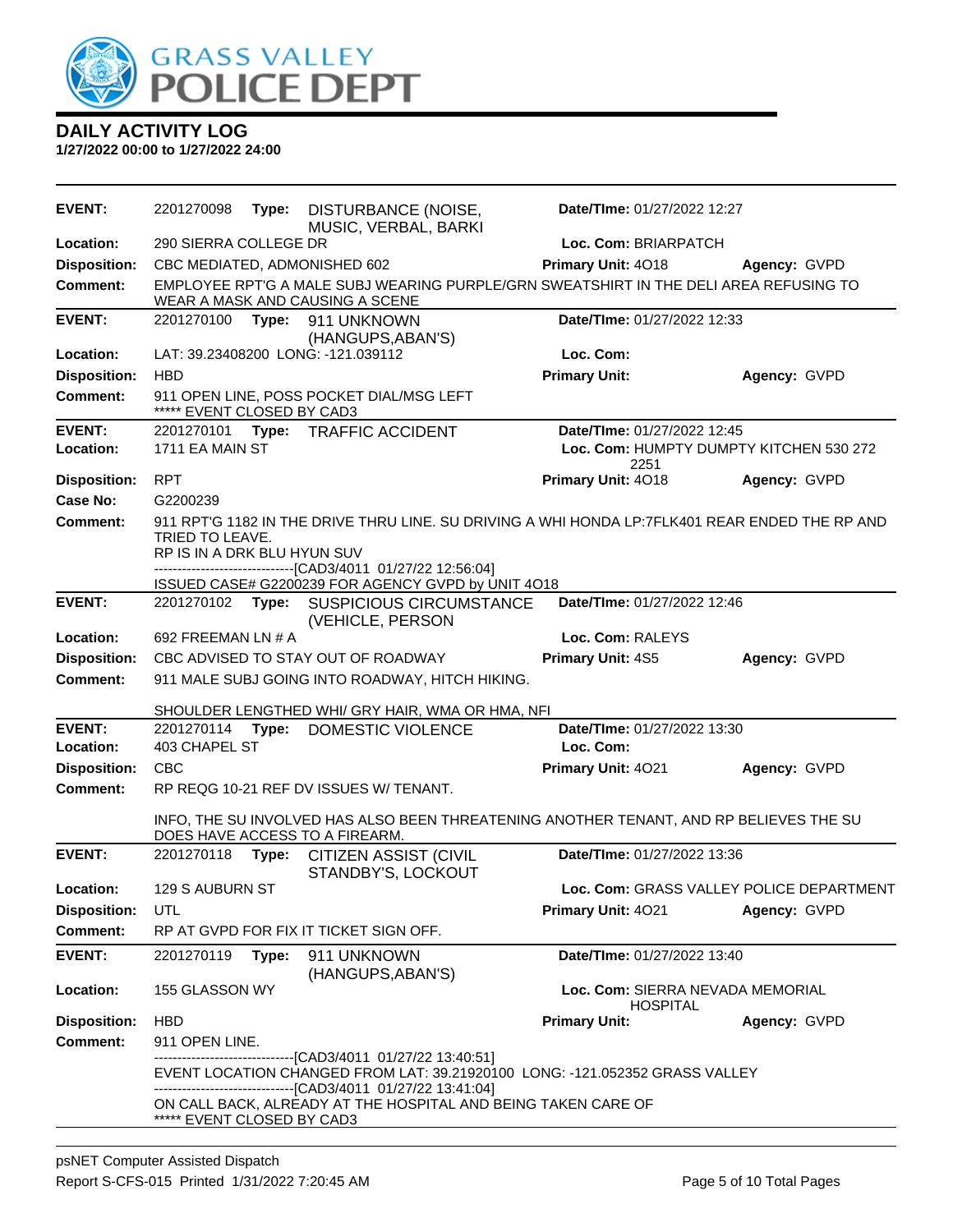

| <b>EVENT:</b>       | 2201270098                                                                                                                                                                                                              | Type: | <b>DISTURBANCE (NOISE,</b><br>MUSIC, VERBAL, BARKI                                                                            | Date/TIme: 01/27/2022 12:27                         |                                          |
|---------------------|-------------------------------------------------------------------------------------------------------------------------------------------------------------------------------------------------------------------------|-------|-------------------------------------------------------------------------------------------------------------------------------|-----------------------------------------------------|------------------------------------------|
| Location:           | 290 SIERRA COLLEGE DR<br>Loc. Com: BRIARPATCH                                                                                                                                                                           |       |                                                                                                                               |                                                     |                                          |
| <b>Disposition:</b> | CBC MEDIATED, ADMONISHED 602                                                                                                                                                                                            |       |                                                                                                                               | Primary Unit: 4018                                  | Agency: GVPD                             |
| Comment:            |                                                                                                                                                                                                                         |       | EMPLOYEE RPT'G A MALE SUBJ WEARING PURPLE/GRN SWEATSHIRT IN THE DELI AREA REFUSING TO<br>WEAR A MASK AND CAUSING A SCENE      |                                                     |                                          |
| <b>EVENT:</b>       | 2201270100                                                                                                                                                                                                              | Type: | 911 UNKNOWN<br>(HANGUPS, ABAN'S)                                                                                              | Date/TIme: 01/27/2022 12:33                         |                                          |
| Location:           |                                                                                                                                                                                                                         |       | LAT: 39.23408200 LONG: -121.039112                                                                                            | Loc. Com:                                           |                                          |
| <b>Disposition:</b> | <b>HBD</b>                                                                                                                                                                                                              |       |                                                                                                                               | <b>Primary Unit:</b>                                | Agency: GVPD                             |
| Comment:            | ***** EVENT CLOSED BY CAD3                                                                                                                                                                                              |       | 911 OPEN LINE, POSS POCKET DIAL/MSG LEFT                                                                                      |                                                     |                                          |
| <b>EVENT:</b>       | 2201270101                                                                                                                                                                                                              | Type: | <b>TRAFFIC ACCIDENT</b>                                                                                                       | Date/TIme: 01/27/2022 12:45                         |                                          |
| Location:           | 1711 EA MAIN ST                                                                                                                                                                                                         |       |                                                                                                                               | Loc. Com: HUMPTY DUMPTY KITCHEN 530 272<br>2251     |                                          |
| <b>Disposition:</b> | <b>RPT</b>                                                                                                                                                                                                              |       |                                                                                                                               | Primary Unit: 4018                                  | Agency: GVPD                             |
| Case No:            | G2200239                                                                                                                                                                                                                |       |                                                                                                                               |                                                     |                                          |
| Comment:            | 911 RPT'G 1182 IN THE DRIVE THRU LINE. SU DRIVING A WHI HONDA LP:7FLK401 REAR ENDED THE RP AND<br><b>TRIED TO LEAVE.</b><br>RP IS IN A DRK BLU HYUN SUV<br>-------------------------------[CAD3/4011 01/27/22 12:56:04] |       |                                                                                                                               |                                                     |                                          |
|                     |                                                                                                                                                                                                                         |       | ISSUED CASE# G2200239 FOR AGENCY GVPD by UNIT 4O18                                                                            |                                                     |                                          |
| <b>EVENT:</b>       |                                                                                                                                                                                                                         |       | 2201270102 Type: SUSPICIOUS CIRCUMSTANCE<br>(VEHICLE, PERSON                                                                  | Date/TIme: 01/27/2022 12:46                         |                                          |
| Location:           | 692 FREEMAN LN # A                                                                                                                                                                                                      |       |                                                                                                                               | Loc. Com: RALEYS                                    |                                          |
| <b>Disposition:</b> |                                                                                                                                                                                                                         |       | CBC ADVISED TO STAY OUT OF ROADWAY                                                                                            | Primary Unit: 4S5                                   | Agency: GVPD                             |
| <b>Comment:</b>     |                                                                                                                                                                                                                         |       | 911 MALE SUBJ GOING INTO ROADWAY, HITCH HIKING.                                                                               |                                                     |                                          |
|                     |                                                                                                                                                                                                                         |       |                                                                                                                               |                                                     |                                          |
| <b>EVENT:</b>       | 2201270114                                                                                                                                                                                                              | Type: | SHOULDER LENGTHED WHI/ GRY HAIR, WMA OR HMA, NFI<br>DOMESTIC VIOLENCE                                                         | Date/TIme: 01/27/2022 13:30                         |                                          |
| Location:           | 403 CHAPEL ST                                                                                                                                                                                                           |       |                                                                                                                               | Loc. Com:                                           |                                          |
| <b>Disposition:</b> | CBC                                                                                                                                                                                                                     |       |                                                                                                                               | Primary Unit: 4021                                  | Agency: GVPD                             |
| Comment:            |                                                                                                                                                                                                                         |       | RP REQG 10-21 REF DV ISSUES W/ TENANT.                                                                                        |                                                     |                                          |
|                     |                                                                                                                                                                                                                         |       | INFO, THE SU INVOLVED HAS ALSO BEEN THREATENING ANOTHER TENANT, AND RP BELIEVES THE SU<br>DOES HAVE ACCESS TO A FIREARM.      |                                                     |                                          |
| <b>EVENT:</b>       | 2201270118                                                                                                                                                                                                              | Type: | <b>CITIZEN ASSIST (CIVIL</b><br>STANDBY'S, LOCKOUT                                                                            | Date/TIme: 01/27/2022 13:36                         |                                          |
| Location:           | 129 S AUBURN ST                                                                                                                                                                                                         |       |                                                                                                                               |                                                     | Loc. Com: GRASS VALLEY POLICE DEPARTMENT |
| <b>Disposition:</b> | UTL                                                                                                                                                                                                                     |       |                                                                                                                               | <b>Primary Unit: 4021</b>                           | Agency: GVPD                             |
| <b>Comment:</b>     |                                                                                                                                                                                                                         |       | RP AT GVPD FOR FIX IT TICKET SIGN OFF.                                                                                        |                                                     |                                          |
| <b>EVENT:</b>       | 2201270119                                                                                                                                                                                                              | Type: | 911 UNKNOWN<br>(HANGUPS, ABAN'S)                                                                                              | Date/TIme: 01/27/2022 13:40                         |                                          |
| Location:           | 155 GLASSON WY                                                                                                                                                                                                          |       |                                                                                                                               | Loc. Com: SIERRA NEVADA MEMORIAL<br><b>HOSPITAL</b> |                                          |
| <b>Disposition:</b> | <b>HBD</b>                                                                                                                                                                                                              |       |                                                                                                                               | <b>Primary Unit:</b>                                | Agency: GVPD                             |
| Comment:            | 911 OPEN LINE.                                                                                                                                                                                                          |       |                                                                                                                               |                                                     |                                          |
|                     |                                                                                                                                                                                                                         |       | EVENT LOCATION CHANGED FROM LAT: 39.21920100 LONG: -121.052352 GRASS VALLEY                                                   |                                                     |                                          |
|                     | ***** EVENT CLOSED BY CAD3                                                                                                                                                                                              |       | -------------------------------[CAD3/4011 01/27/22 13:41:04]<br>ON CALL BACK, ALREADY AT THE HOSPITAL AND BEING TAKEN CARE OF |                                                     |                                          |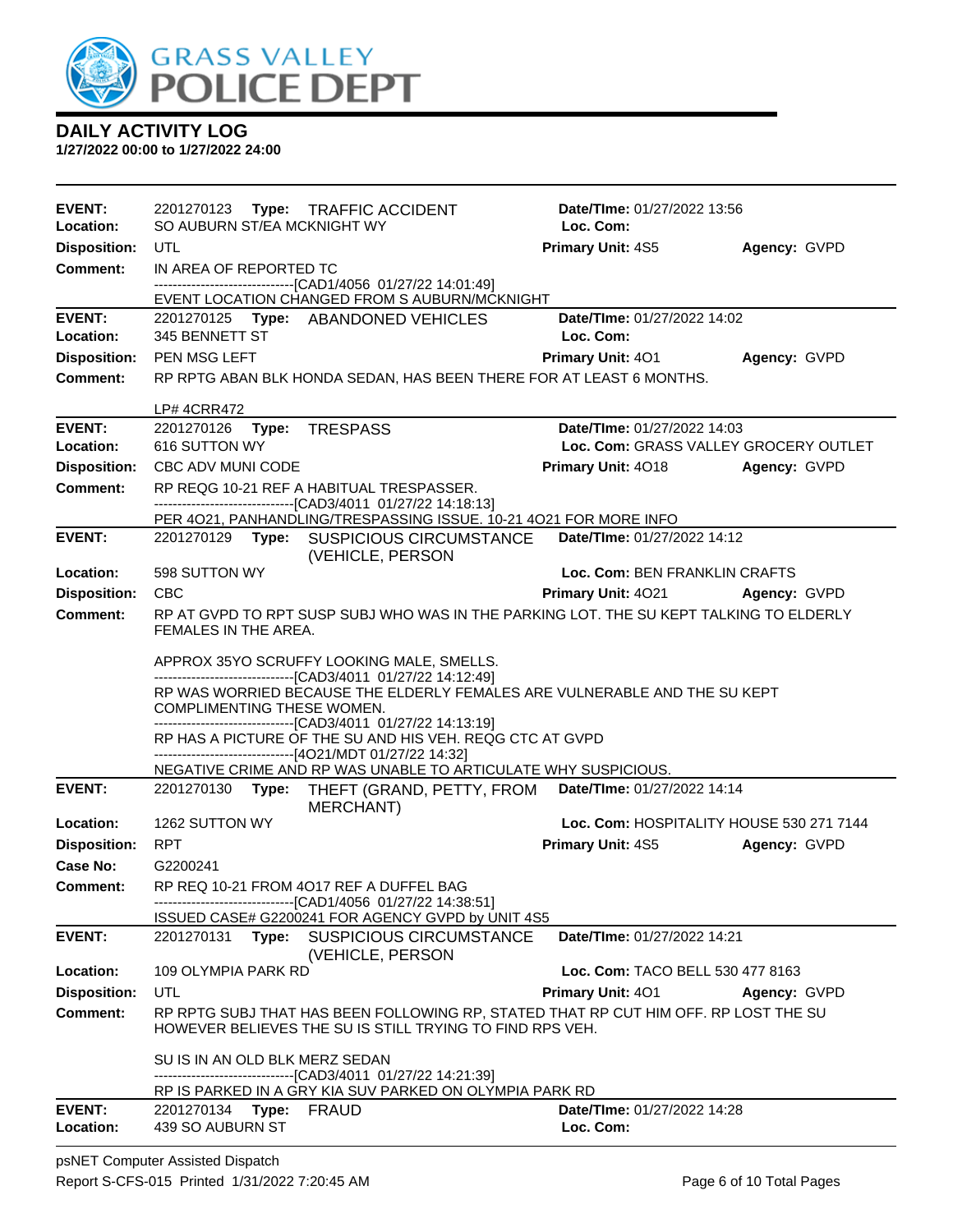

**1/27/2022 00:00 to 1/27/2022 24:00**

| <b>EVENT:</b>                   |                                                                                                                                                                                                                                                                                                                                                                                                                                                                                | 2201270123 Type: TRAFFIC ACCIDENT                                                                                                               | Date/TIme: 01/27/2022 13:56              |              |  |  |  |
|---------------------------------|--------------------------------------------------------------------------------------------------------------------------------------------------------------------------------------------------------------------------------------------------------------------------------------------------------------------------------------------------------------------------------------------------------------------------------------------------------------------------------|-------------------------------------------------------------------------------------------------------------------------------------------------|------------------------------------------|--------------|--|--|--|
| Location:                       | SO AUBURN ST/EA MCKNIGHT WY                                                                                                                                                                                                                                                                                                                                                                                                                                                    |                                                                                                                                                 | Loc. Com:                                |              |  |  |  |
| <b>Disposition:</b>             | UTL                                                                                                                                                                                                                                                                                                                                                                                                                                                                            |                                                                                                                                                 | <b>Primary Unit: 4S5</b>                 | Agency: GVPD |  |  |  |
| <b>Comment:</b>                 | IN AREA OF REPORTED TC                                                                                                                                                                                                                                                                                                                                                                                                                                                         |                                                                                                                                                 |                                          |              |  |  |  |
|                                 |                                                                                                                                                                                                                                                                                                                                                                                                                                                                                | -------------------------------[CAD1/4056 01/27/22 14:01:49]<br>EVENT LOCATION CHANGED FROM S AUBURN/MCKNIGHT                                   |                                          |              |  |  |  |
| <b>EVENT:</b>                   |                                                                                                                                                                                                                                                                                                                                                                                                                                                                                | 2201270125 Type: ABANDONED VEHICLES                                                                                                             | Date/TIme: 01/27/2022 14:02              |              |  |  |  |
| Location:                       | 345 BENNETT ST                                                                                                                                                                                                                                                                                                                                                                                                                                                                 | Loc. Com:                                                                                                                                       |                                          |              |  |  |  |
| <b>Disposition:</b>             | PEN MSG LEFT                                                                                                                                                                                                                                                                                                                                                                                                                                                                   |                                                                                                                                                 | <b>Primary Unit: 401</b>                 | Agency: GVPD |  |  |  |
| <b>Comment:</b>                 |                                                                                                                                                                                                                                                                                                                                                                                                                                                                                | RP RPTG ABAN BLK HONDA SEDAN, HAS BEEN THERE FOR AT LEAST 6 MONTHS.                                                                             |                                          |              |  |  |  |
|                                 | <b>LP# 4CRR472</b>                                                                                                                                                                                                                                                                                                                                                                                                                                                             |                                                                                                                                                 |                                          |              |  |  |  |
| <b>EVENT:</b>                   | 2201270126 Type: TRESPASS                                                                                                                                                                                                                                                                                                                                                                                                                                                      |                                                                                                                                                 | Date/TIme: 01/27/2022 14:03              |              |  |  |  |
| Location:                       | 616 SUTTON WY                                                                                                                                                                                                                                                                                                                                                                                                                                                                  |                                                                                                                                                 | Loc. Com: GRASS VALLEY GROCERY OUTLET    |              |  |  |  |
| <b>Disposition:</b>             | CBC ADV MUNI CODE                                                                                                                                                                                                                                                                                                                                                                                                                                                              |                                                                                                                                                 | <b>Primary Unit: 4018</b>                | Agency: GVPD |  |  |  |
| <b>Comment:</b>                 |                                                                                                                                                                                                                                                                                                                                                                                                                                                                                | RP REQG 10-21 REF A HABITUAL TRESPASSER.<br>--------------------------------[CAD3/4011 01/27/22 14:18:13]                                       |                                          |              |  |  |  |
|                                 |                                                                                                                                                                                                                                                                                                                                                                                                                                                                                | PER 4021, PANHANDLING/TRESPASSING ISSUE. 10-21 4021 FOR MORE INFO                                                                               |                                          |              |  |  |  |
| <b>EVENT:</b>                   |                                                                                                                                                                                                                                                                                                                                                                                                                                                                                | 2201270129 Type: SUSPICIOUS CIRCUMSTANCE<br>(VEHICLE, PERSON                                                                                    | Date/TIme: 01/27/2022 14:12              |              |  |  |  |
| Location:                       | 598 SUTTON WY                                                                                                                                                                                                                                                                                                                                                                                                                                                                  |                                                                                                                                                 | Loc. Com: BEN FRANKLIN CRAFTS            |              |  |  |  |
| <b>Disposition:</b>             | <b>CBC</b>                                                                                                                                                                                                                                                                                                                                                                                                                                                                     |                                                                                                                                                 | <b>Primary Unit: 4021</b>                | Agency: GVPD |  |  |  |
| <b>Comment:</b>                 | RP AT GVPD TO RPT SUSP SUBJ WHO WAS IN THE PARKING LOT. THE SU KEPT TALKING TO ELDERLY<br>FEMALES IN THE AREA.                                                                                                                                                                                                                                                                                                                                                                 |                                                                                                                                                 |                                          |              |  |  |  |
|                                 | APPROX 35YO SCRUFFY LOOKING MALE, SMELLS.<br>-------------------------------[CAD3/4011 01/27/22 14:12:49]<br>RP WAS WORRIED BECAUSE THE ELDERLY FEMALES ARE VULNERABLE AND THE SU KEPT<br>COMPLIMENTING THESE WOMEN.<br>--------------------------------[CAD3/4011 01/27/22 14:13:19]<br>RP HAS A PICTURE OF THE SU AND HIS VEH. REQG CTC AT GVPD<br>------------------------------[4O21/MDT 01/27/22 14:32]<br>NEGATIVE CRIME AND RP WAS UNABLE TO ARTICULATE WHY SUSPICIOUS. |                                                                                                                                                 |                                          |              |  |  |  |
| <b>EVENT:</b>                   |                                                                                                                                                                                                                                                                                                                                                                                                                                                                                | 2201270130 Type: THEFT (GRAND, PETTY, FROM                                                                                                      | Date/TIme: 01/27/2022 14:14              |              |  |  |  |
|                                 |                                                                                                                                                                                                                                                                                                                                                                                                                                                                                | <b>MERCHANT)</b>                                                                                                                                |                                          |              |  |  |  |
| Location:                       | 1262 SUTTON WY                                                                                                                                                                                                                                                                                                                                                                                                                                                                 |                                                                                                                                                 | Loc. Com: HOSPITALITY HOUSE 530 271 7144 |              |  |  |  |
| <b>Disposition:</b><br>Case No: | RPT<br>G2200241                                                                                                                                                                                                                                                                                                                                                                                                                                                                |                                                                                                                                                 | <b>Primary Unit: 4S5</b>                 | Agency: GVPD |  |  |  |
| Comment:                        |                                                                                                                                                                                                                                                                                                                                                                                                                                                                                | RP REQ 10-21 FROM 4O17 REF A DUFFEL BAG                                                                                                         |                                          |              |  |  |  |
|                                 |                                                                                                                                                                                                                                                                                                                                                                                                                                                                                | ----------------------------------[CAD1/4056 01/27/22 14:38:51]                                                                                 |                                          |              |  |  |  |
|                                 |                                                                                                                                                                                                                                                                                                                                                                                                                                                                                | ISSUED CASE# G2200241 FOR AGENCY GVPD by UNIT 4S5                                                                                               |                                          |              |  |  |  |
| <b>EVENT:</b>                   |                                                                                                                                                                                                                                                                                                                                                                                                                                                                                | 2201270131 Type: SUSPICIOUS CIRCUMSTANCE<br>(VEHICLE, PERSON                                                                                    | Date/TIme: 01/27/2022 14:21              |              |  |  |  |
| Location:                       | 109 OLYMPIA PARK RD                                                                                                                                                                                                                                                                                                                                                                                                                                                            |                                                                                                                                                 | Loc. Com: TACO BELL 530 477 8163         |              |  |  |  |
| <b>Disposition:</b>             | UTL                                                                                                                                                                                                                                                                                                                                                                                                                                                                            |                                                                                                                                                 | Primary Unit: 401                        | Agency: GVPD |  |  |  |
| Comment:                        |                                                                                                                                                                                                                                                                                                                                                                                                                                                                                | RP RPTG SUBJ THAT HAS BEEN FOLLOWING RP, STATED THAT RP CUT HIM OFF. RP LOST THE SU<br>HOWEVER BELIEVES THE SU IS STILL TRYING TO FIND RPS VEH. |                                          |              |  |  |  |
|                                 | SU IS IN AN OLD BLK MERZ SEDAN                                                                                                                                                                                                                                                                                                                                                                                                                                                 | --------------------------------[CAD3/4011 01/27/22 14:21:39]<br>RP IS PARKED IN A GRY KIA SUV PARKED ON OLYMPIA PARK RD                        |                                          |              |  |  |  |
| <b>EVENT:</b>                   | 2201270134 Type:                                                                                                                                                                                                                                                                                                                                                                                                                                                               | <b>FRAUD</b>                                                                                                                                    | Date/TIme: 01/27/2022 14:28              |              |  |  |  |
| Location:                       | 439 SO AUBURN ST                                                                                                                                                                                                                                                                                                                                                                                                                                                               |                                                                                                                                                 | Loc. Com:                                |              |  |  |  |

psNET Computer Assisted Dispatch Report S-CFS-015 Printed 1/31/2022 7:20:45 AM Page 6 of 10 Total Pages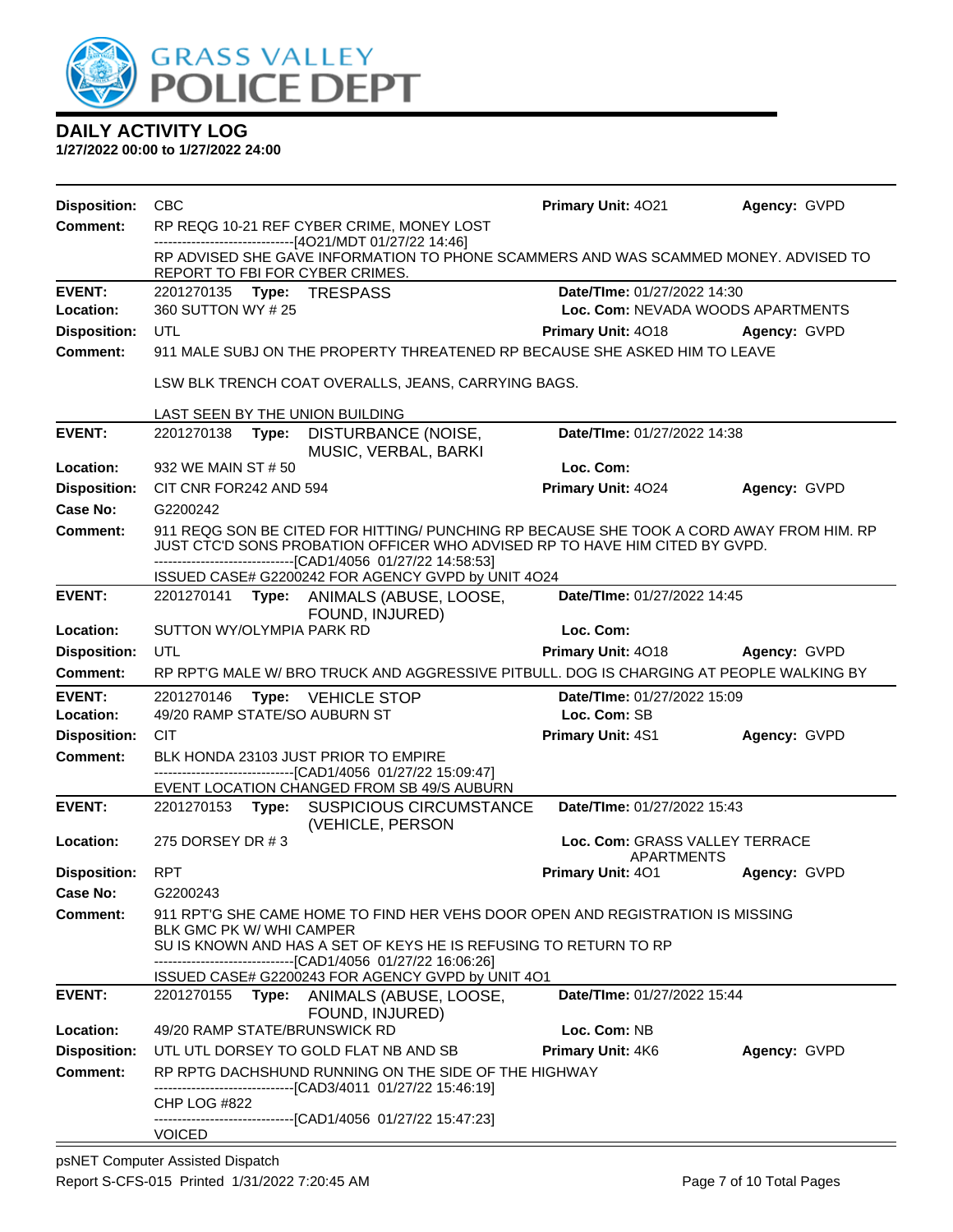

**1/27/2022 00:00 to 1/27/2022 24:00**

| <b>Disposition:</b>     | <b>CBC</b>                                                                                                                                                                                                                                                                                     |                                                                                                                                                                                                                                           |                                                                                                            | Primary Unit: 4021                                  | Agency: GVPD |  |
|-------------------------|------------------------------------------------------------------------------------------------------------------------------------------------------------------------------------------------------------------------------------------------------------------------------------------------|-------------------------------------------------------------------------------------------------------------------------------------------------------------------------------------------------------------------------------------------|------------------------------------------------------------------------------------------------------------|-----------------------------------------------------|--------------|--|
| <b>Comment:</b>         | RP REQG 10-21 REF CYBER CRIME, MONEY LOST<br>--------------------------[4O21/MDT 01/27/22 14:46]                                                                                                                                                                                               |                                                                                                                                                                                                                                           |                                                                                                            |                                                     |              |  |
|                         | RP ADVISED SHE GAVE INFORMATION TO PHONE SCAMMERS AND WAS SCAMMED MONEY. ADVISED TO<br>REPORT TO FBI FOR CYBER CRIMES.                                                                                                                                                                         |                                                                                                                                                                                                                                           |                                                                                                            |                                                     |              |  |
| <b>EVENT:</b>           |                                                                                                                                                                                                                                                                                                |                                                                                                                                                                                                                                           | 2201270135 Type: TRESPASS                                                                                  | Date/TIme: 01/27/2022 14:30                         |              |  |
| Location:               | 360 SUTTON WY # 25                                                                                                                                                                                                                                                                             |                                                                                                                                                                                                                                           |                                                                                                            | Loc. Com: NEVADA WOODS APARTMENTS                   |              |  |
| <b>Disposition:</b>     | UTL                                                                                                                                                                                                                                                                                            |                                                                                                                                                                                                                                           |                                                                                                            | Primary Unit: 4018                                  | Agency: GVPD |  |
| <b>Comment:</b>         | 911 MALE SUBJ ON THE PROPERTY THREATENED RP BECAUSE SHE ASKED HIM TO LEAVE                                                                                                                                                                                                                     |                                                                                                                                                                                                                                           |                                                                                                            |                                                     |              |  |
|                         |                                                                                                                                                                                                                                                                                                |                                                                                                                                                                                                                                           | LSW BLK TRENCH COAT OVERALLS, JEANS, CARRYING BAGS.                                                        |                                                     |              |  |
|                         |                                                                                                                                                                                                                                                                                                |                                                                                                                                                                                                                                           | LAST SEEN BY THE UNION BUILDING                                                                            |                                                     |              |  |
| <b>EVENT:</b>           |                                                                                                                                                                                                                                                                                                |                                                                                                                                                                                                                                           | 2201270138 Type: DISTURBANCE (NOISE,<br>MUSIC, VERBAL, BARKI                                               | Date/TIme: 01/27/2022 14:38                         |              |  |
| Location:               | 932 WE MAIN ST # 50                                                                                                                                                                                                                                                                            |                                                                                                                                                                                                                                           |                                                                                                            | Loc. Com:                                           |              |  |
| <b>Disposition:</b>     | CIT CNR FOR242 AND 594                                                                                                                                                                                                                                                                         |                                                                                                                                                                                                                                           |                                                                                                            | Primary Unit: 4024                                  | Agency: GVPD |  |
| Case No:                | G2200242                                                                                                                                                                                                                                                                                       |                                                                                                                                                                                                                                           |                                                                                                            |                                                     |              |  |
| Comment:                |                                                                                                                                                                                                                                                                                                | 911 REQG SON BE CITED FOR HITTING/ PUNCHING RP BECAUSE SHE TOOK A CORD AWAY FROM HIM. RP<br>JUST CTC'D SONS PROBATION OFFICER WHO ADVISED RP TO HAVE HIM CITED BY GVPD.<br>---------------------------------[CAD1/4056 01/27/22 14:58:53] |                                                                                                            |                                                     |              |  |
|                         |                                                                                                                                                                                                                                                                                                |                                                                                                                                                                                                                                           | ISSUED CASE# G2200242 FOR AGENCY GVPD by UNIT 4O24                                                         |                                                     |              |  |
| <b>EVENT:</b>           |                                                                                                                                                                                                                                                                                                |                                                                                                                                                                                                                                           | 2201270141 Type: ANIMALS (ABUSE, LOOSE,<br>FOUND, INJURED)                                                 | Date/TIme: 01/27/2022 14:45                         |              |  |
| Location:               | SUTTON WY/OLYMPIA PARK RD                                                                                                                                                                                                                                                                      |                                                                                                                                                                                                                                           |                                                                                                            | Loc. Com:                                           |              |  |
| <b>Disposition:</b>     | UTL                                                                                                                                                                                                                                                                                            |                                                                                                                                                                                                                                           |                                                                                                            | Primary Unit: 4018                                  | Agency: GVPD |  |
| Comment:                |                                                                                                                                                                                                                                                                                                |                                                                                                                                                                                                                                           | RP RPT'G MALE W/ BRO TRUCK AND AGGRESSIVE PITBULL. DOG IS CHARGING AT PEOPLE WALKING BY                    |                                                     |              |  |
| <b>EVENT:</b>           | 2201270146                                                                                                                                                                                                                                                                                     |                                                                                                                                                                                                                                           | <b>Type: VEHICLE STOP</b>                                                                                  | Date/TIme: 01/27/2022 15:09                         |              |  |
| Location:               | 49/20 RAMP STATE/SO AUBURN ST                                                                                                                                                                                                                                                                  |                                                                                                                                                                                                                                           |                                                                                                            | Loc. Com: SB                                        |              |  |
| <b>Disposition:</b>     | <b>CIT</b>                                                                                                                                                                                                                                                                                     |                                                                                                                                                                                                                                           |                                                                                                            | Primary Unit: 4S1                                   | Agency: GVPD |  |
| <b>Comment:</b>         |                                                                                                                                                                                                                                                                                                |                                                                                                                                                                                                                                           | BLK HONDA 23103 JUST PRIOR TO EMPIRE                                                                       |                                                     |              |  |
|                         |                                                                                                                                                                                                                                                                                                |                                                                                                                                                                                                                                           | -------------------------------[CAD1/4056 01/27/22 15:09:47]<br>EVENT LOCATION CHANGED FROM SB 49/S AUBURN |                                                     |              |  |
| <b>EVENT:</b>           |                                                                                                                                                                                                                                                                                                |                                                                                                                                                                                                                                           | 2201270153 Type: SUSPICIOUS CIRCUMSTANCE<br>(VEHICLE, PERSON                                               | Date/TIme: 01/27/2022 15:43                         |              |  |
| Location:               | 275 DORSEY DR #3                                                                                                                                                                                                                                                                               |                                                                                                                                                                                                                                           |                                                                                                            | Loc. Com: GRASS VALLEY TERRACE<br><b>APARTMENTS</b> |              |  |
| <b>Disposition: RPT</b> |                                                                                                                                                                                                                                                                                                |                                                                                                                                                                                                                                           |                                                                                                            | <b>Primary Unit: 401</b>                            | Agency: GVPD |  |
| Case No:                | G2200243                                                                                                                                                                                                                                                                                       |                                                                                                                                                                                                                                           |                                                                                                            |                                                     |              |  |
| Comment:                | 911 RPT'G SHE CAME HOME TO FIND HER VEHS DOOR OPEN AND REGISTRATION IS MISSING<br>BLK GMC PK W/ WHI CAMPER<br>SU IS KNOWN AND HAS A SET OF KEYS HE IS REFUSING TO RETURN TO RP<br>--------------------------[CAD1/4056_01/27/22 16:06:26]<br>ISSUED CASE# G2200243 FOR AGENCY GVPD by UNIT 4O1 |                                                                                                                                                                                                                                           |                                                                                                            |                                                     |              |  |
| <b>EVENT:</b>           |                                                                                                                                                                                                                                                                                                |                                                                                                                                                                                                                                           | 2201270155 Type: ANIMALS (ABUSE, LOOSE,                                                                    | Date/TIme: 01/27/2022 15:44                         |              |  |
| Location:               |                                                                                                                                                                                                                                                                                                |                                                                                                                                                                                                                                           | FOUND, INJURED)<br>49/20 RAMP STATE/BRUNSWICK RD                                                           | Loc. Com: NB                                        |              |  |
| <b>Disposition:</b>     |                                                                                                                                                                                                                                                                                                |                                                                                                                                                                                                                                           | UTL UTL DORSEY TO GOLD FLAT NB AND SB                                                                      | <b>Primary Unit: 4K6</b>                            | Agency: GVPD |  |
| <b>Comment:</b>         |                                                                                                                                                                                                                                                                                                |                                                                                                                                                                                                                                           | RP RPTG DACHSHUND RUNNING ON THE SIDE OF THE HIGHWAY                                                       |                                                     |              |  |
|                         |                                                                                                                                                                                                                                                                                                |                                                                                                                                                                                                                                           | -----------------------[CAD3/4011_01/27/22 15:46:19]                                                       |                                                     |              |  |
|                         | CHP LOG #822                                                                                                                                                                                                                                                                                   |                                                                                                                                                                                                                                           | -------------------------------[CAD1/4056 01/27/22 15:47:23]                                               |                                                     |              |  |
|                         | <b>VOICED</b>                                                                                                                                                                                                                                                                                  |                                                                                                                                                                                                                                           |                                                                                                            |                                                     |              |  |

psNET Computer Assisted Dispatch Report S-CFS-015 Printed 1/31/2022 7:20:45 AM Page 7 of 10 Total Pages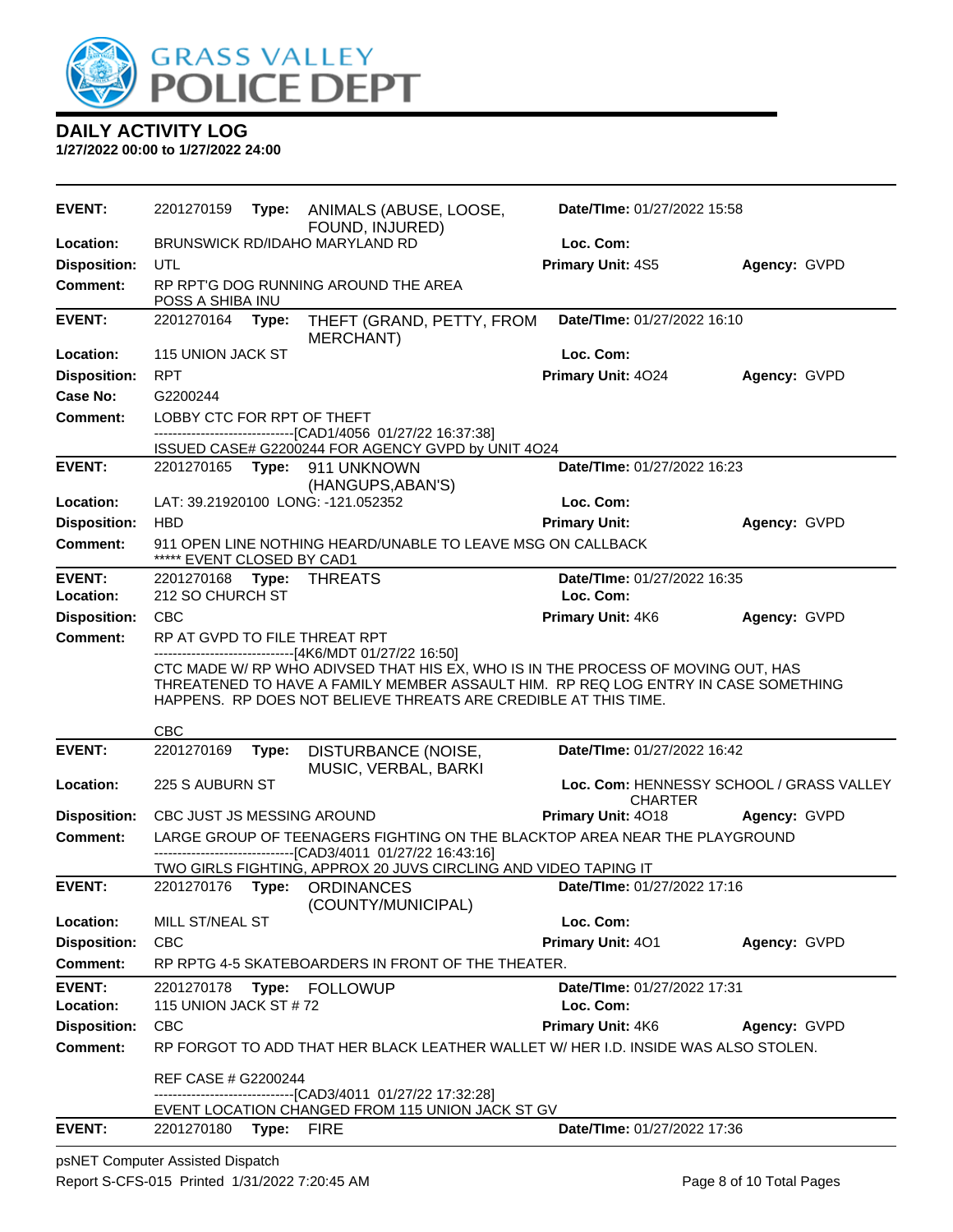

**1/27/2022 00:00 to 1/27/2022 24:00**

| <b>EVENT:</b>              | 2201270159                          | Type:                                                    | ANIMALS (ABUSE, LOOSE,                                                                                                                                                                                                                    | Date/TIme: 01/27/2022 15:58              |                                          |  |
|----------------------------|-------------------------------------|----------------------------------------------------------|-------------------------------------------------------------------------------------------------------------------------------------------------------------------------------------------------------------------------------------------|------------------------------------------|------------------------------------------|--|
| Location:                  |                                     |                                                          | FOUND, INJURED)<br>BRUNSWICK RD/IDAHO MARYLAND RD                                                                                                                                                                                         | Loc. Com:                                |                                          |  |
| <b>Disposition:</b>        | UTL                                 |                                                          |                                                                                                                                                                                                                                           | Primary Unit: 4S5                        | Agency: GVPD                             |  |
| <b>Comment:</b>            |                                     | RP RPT'G DOG RUNNING AROUND THE AREA<br>POSS A SHIBA INU |                                                                                                                                                                                                                                           |                                          |                                          |  |
| <b>EVENT:</b>              | 2201270164                          | Type:                                                    | THEFT (GRAND, PETTY, FROM<br>MERCHANT)                                                                                                                                                                                                    | Date/TIme: 01/27/2022 16:10              |                                          |  |
| Location:                  | 115 UNION JACK ST                   |                                                          |                                                                                                                                                                                                                                           | Loc. Com:                                |                                          |  |
| <b>Disposition:</b>        | <b>RPT</b>                          |                                                          |                                                                                                                                                                                                                                           | Primary Unit: 4024                       | Agency: GVPD                             |  |
| Case No:                   | G2200244                            |                                                          |                                                                                                                                                                                                                                           |                                          |                                          |  |
| Comment:                   | LOBBY CTC FOR RPT OF THEFT          |                                                          |                                                                                                                                                                                                                                           |                                          |                                          |  |
|                            |                                     |                                                          | --------------------------------[CAD1/4056 01/27/22 16:37:38]<br>ISSUED CASE# G2200244 FOR AGENCY GVPD by UNIT 4O24                                                                                                                       |                                          |                                          |  |
| <b>EVENT:</b>              |                                     |                                                          | 2201270165    Type: 911    UNKNOWN<br>(HANGUPS, ABAN'S)                                                                                                                                                                                   | Date/TIme: 01/27/2022 16:23              |                                          |  |
| Location:                  |                                     |                                                          | LAT: 39.21920100 LONG: -121.052352                                                                                                                                                                                                        | Loc. Com:                                |                                          |  |
| <b>Disposition:</b>        | <b>HBD</b>                          |                                                          |                                                                                                                                                                                                                                           | <b>Primary Unit:</b>                     | Agency: GVPD                             |  |
| <b>Comment:</b>            | ***** EVENT CLOSED BY CAD1          |                                                          | 911 OPEN LINE NOTHING HEARD/UNABLE TO LEAVE MSG ON CALLBACK                                                                                                                                                                               |                                          |                                          |  |
| <b>EVENT:</b>              | 2201270168                          | Type:                                                    | THREATS                                                                                                                                                                                                                                   | Date/TIme: 01/27/2022 16:35              |                                          |  |
| Location:                  | 212 SO CHURCH ST                    |                                                          |                                                                                                                                                                                                                                           | Loc. Com:                                |                                          |  |
| <b>Disposition:</b>        | <b>CBC</b>                          |                                                          |                                                                                                                                                                                                                                           | Primary Unit: 4K6                        | Agency: GVPD                             |  |
| <b>Comment:</b>            |                                     |                                                          | RP AT GVPD TO FILE THREAT RPT<br>------------------------------[4K6/MDT 01/27/22 16:50]                                                                                                                                                   |                                          |                                          |  |
|                            |                                     |                                                          | CTC MADE W/ RP WHO ADIVSED THAT HIS EX, WHO IS IN THE PROCESS OF MOVING OUT, HAS<br>THREATENED TO HAVE A FAMILY MEMBER ASSAULT HIM. RP REQ LOG ENTRY IN CASE SOMETHING<br>HAPPENS. RP DOES NOT BELIEVE THREATS ARE CREDIBLE AT THIS TIME. |                                          |                                          |  |
|                            | <b>CBC</b>                          |                                                          |                                                                                                                                                                                                                                           |                                          |                                          |  |
| <b>EVENT:</b>              | 2201270169                          | Type:                                                    | DISTURBANCE (NOISE,<br>MUSIC, VERBAL, BARKI                                                                                                                                                                                               | Date/TIme: 01/27/2022 16:42              |                                          |  |
| Location:                  | 225 S AUBURN ST                     |                                                          |                                                                                                                                                                                                                                           | <b>CHARTER</b>                           | Loc. Com: HENNESSY SCHOOL / GRASS VALLEY |  |
| <b>Disposition:</b>        | CBC JUST JS MESSING AROUND          |                                                          |                                                                                                                                                                                                                                           | Primary Unit: 4018                       | Agency: GVPD                             |  |
| <b>Comment:</b>            |                                     |                                                          | LARGE GROUP OF TEENAGERS FIGHTING ON THE BLACKTOP AREA NEAR THE PLAYGROUND<br>-------------------[CAD3/4011_01/27/22 16:43:16]                                                                                                            |                                          |                                          |  |
|                            |                                     |                                                          | TWO GIRLS FIGHTING, APPROX 20 JUVS CIRCLING AND VIDEO TAPING IT                                                                                                                                                                           |                                          |                                          |  |
| <b>EVENT:</b>              |                                     |                                                          | 2201270176 Type: ORDINANCES<br>(COUNTY/MUNICIPAL)                                                                                                                                                                                         | Date/TIme: 01/27/2022 17:16              |                                          |  |
| Location:                  | MILL ST/NEAL ST                     |                                                          |                                                                                                                                                                                                                                           | Loc. Com:                                |                                          |  |
| <b>Disposition:</b>        | <b>CBC</b>                          |                                                          |                                                                                                                                                                                                                                           | Primary Unit: 401                        | Agency: GVPD                             |  |
| <b>Comment:</b>            |                                     |                                                          | RP RPTG 4-5 SKATEBOARDERS IN FRONT OF THE THEATER.                                                                                                                                                                                        |                                          |                                          |  |
| <b>EVENT:</b><br>Location: | 2201270178<br>115 UNION JACK ST #72 |                                                          | Type: FOLLOWUP                                                                                                                                                                                                                            | Date/TIme: 01/27/2022 17:31<br>Loc. Com: |                                          |  |
| <b>Disposition:</b>        | CBC                                 |                                                          |                                                                                                                                                                                                                                           | <b>Primary Unit: 4K6</b>                 | Agency: GVPD                             |  |
| <b>Comment:</b>            |                                     |                                                          | RP FORGOT TO ADD THAT HER BLACK LEATHER WALLET W/HER I.D. INSIDE WAS ALSO STOLEN.                                                                                                                                                         |                                          |                                          |  |
|                            | REF CASE # G2200244                 |                                                          | ---------[CAD3/4011_01/27/22 17:32:28]<br>EVENT LOCATION CHANGED FROM 115 UNION JACK ST GV                                                                                                                                                |                                          |                                          |  |
| <b>EVENT:</b>              | 2201270180 Type: FIRE               |                                                          |                                                                                                                                                                                                                                           | Date/TIme: 01/27/2022 17:36              |                                          |  |
|                            |                                     |                                                          |                                                                                                                                                                                                                                           |                                          |                                          |  |

psNET Computer Assisted Dispatch Report S-CFS-015 Printed 1/31/2022 7:20:45 AM Page 8 of 10 Total Pages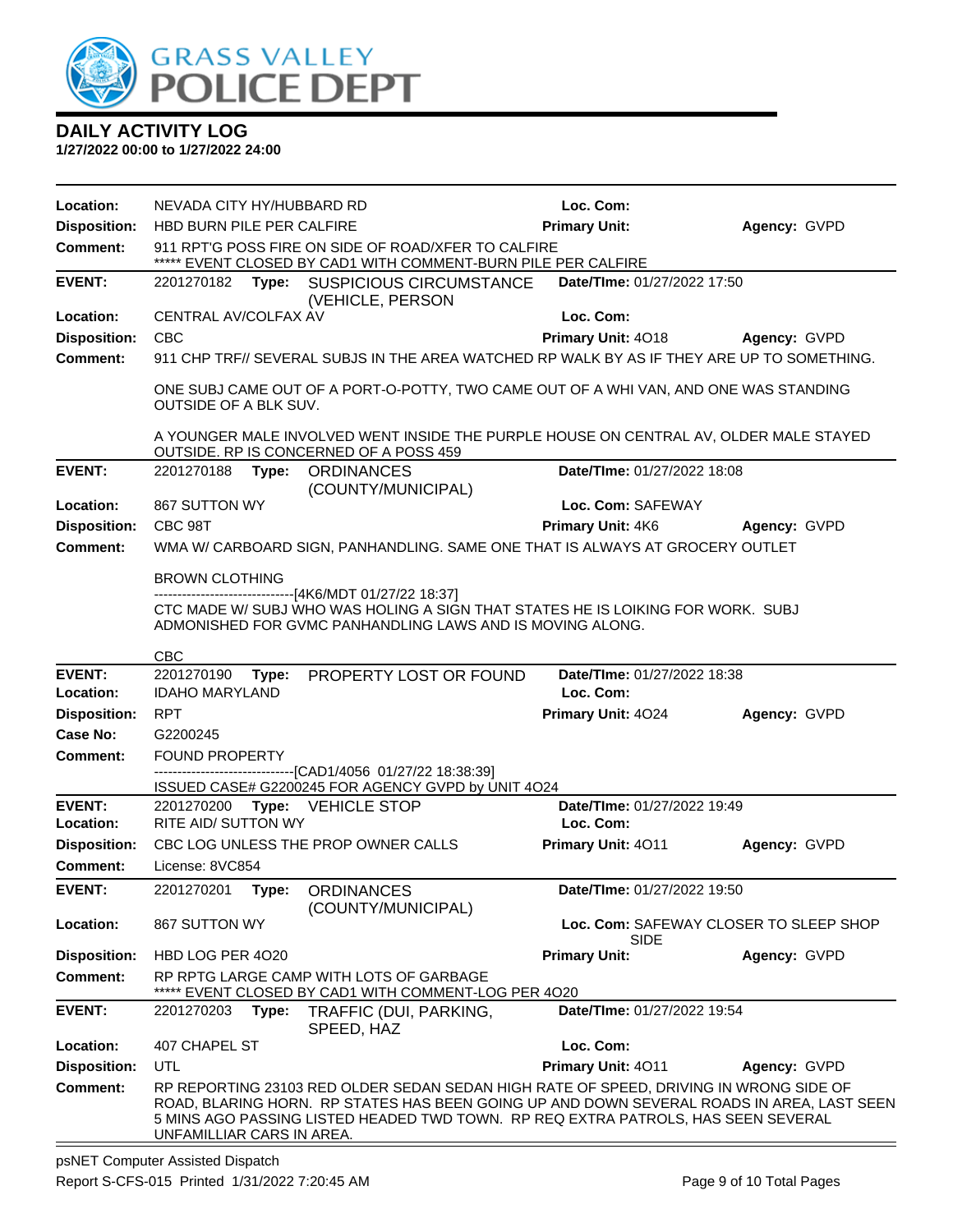

#### **1/27/2022 00:00 to 1/27/2022 24:00**

| Location:           | NEVADA CITY HY/HUBBARD RD    |                                                                                                                                                                                                                                                                         | Loc. Com:                   |                                        |
|---------------------|------------------------------|-------------------------------------------------------------------------------------------------------------------------------------------------------------------------------------------------------------------------------------------------------------------------|-----------------------------|----------------------------------------|
| <b>Disposition:</b> | HBD BURN PILE PER CALFIRE    |                                                                                                                                                                                                                                                                         | <b>Primary Unit:</b>        | Agency: GVPD                           |
| <b>Comment:</b>     |                              | 911 RPT'G POSS FIRE ON SIDE OF ROAD/XFER TO CALFIRE<br>***** EVENT CLOSED BY CAD1 WITH COMMENT-BURN PILE PER CALFIRE                                                                                                                                                    |                             |                                        |
| <b>EVENT:</b>       |                              | 2201270182 Type: SUSPICIOUS CIRCUMSTANCE<br>(VEHICLE, PERSON                                                                                                                                                                                                            | Date/TIme: 01/27/2022 17:50 |                                        |
| Location:           | CENTRAL AV/COLFAX AV         |                                                                                                                                                                                                                                                                         | Loc. Com:                   |                                        |
| <b>Disposition:</b> | <b>CBC</b>                   |                                                                                                                                                                                                                                                                         | Primary Unit: 4018          | Agency: GVPD                           |
| <b>Comment:</b>     |                              | 911 CHP TRF// SEVERAL SUBJS IN THE AREA WATCHED RP WALK BY AS IF THEY ARE UP TO SOMETHING.                                                                                                                                                                              |                             |                                        |
|                     | <b>OUTSIDE OF A BLK SUV.</b> | ONE SUBJ CAME OUT OF A PORT-O-POTTY, TWO CAME OUT OF A WHI VAN, AND ONE WAS STANDING                                                                                                                                                                                    |                             |                                        |
|                     |                              | A YOUNGER MALE INVOLVED WENT INSIDE THE PURPLE HOUSE ON CENTRAL AV, OLDER MALE STAYED<br>OUTSIDE. RP IS CONCERNED OF A POSS 459                                                                                                                                         |                             |                                        |
| <b>EVENT:</b>       | 2201270188                   | Type:<br><b>ORDINANCES</b><br>(COUNTY/MUNICIPAL)                                                                                                                                                                                                                        | Date/TIme: 01/27/2022 18:08 |                                        |
| Location:           | 867 SUTTON WY                |                                                                                                                                                                                                                                                                         | Loc. Com: SAFEWAY           |                                        |
| <b>Disposition:</b> | CBC 98T                      |                                                                                                                                                                                                                                                                         | <b>Primary Unit: 4K6</b>    | Agency: GVPD                           |
| <b>Comment:</b>     |                              | WMA W/ CARBOARD SIGN, PANHANDLING. SAME ONE THAT IS ALWAYS AT GROCERY OUTLET                                                                                                                                                                                            |                             |                                        |
|                     | <b>BROWN CLOTHING</b>        |                                                                                                                                                                                                                                                                         |                             |                                        |
|                     |                              | ------------------------------[4K6/MDT 01/27/22 18:37]                                                                                                                                                                                                                  |                             |                                        |
|                     |                              | CTC MADE W/ SUBJ WHO WAS HOLING A SIGN THAT STATES HE IS LOIKING FOR WORK. SUBJ<br>ADMONISHED FOR GVMC PANHANDLING LAWS AND IS MOVING ALONG.                                                                                                                            |                             |                                        |
|                     | <b>CBC</b>                   |                                                                                                                                                                                                                                                                         |                             |                                        |
| <b>EVENT:</b>       | 2201270190                   | Type: PROPERTY LOST OR FOUND                                                                                                                                                                                                                                            | Date/TIme: 01/27/2022 18:38 |                                        |
| Location:           | <b>IDAHO MARYLAND</b>        |                                                                                                                                                                                                                                                                         | Loc. Com:                   |                                        |
| <b>Disposition:</b> | <b>RPT</b>                   |                                                                                                                                                                                                                                                                         | Primary Unit: 4024          | Agency: GVPD                           |
| <b>Case No:</b>     | G2200245                     |                                                                                                                                                                                                                                                                         |                             |                                        |
| <b>Comment:</b>     | <b>FOUND PROPERTY</b>        | -------------------------------[CAD1/4056_01/27/22 18:38:39]                                                                                                                                                                                                            |                             |                                        |
|                     |                              | ISSUED CASE# G2200245 FOR AGENCY GVPD by UNIT 4O24                                                                                                                                                                                                                      |                             |                                        |
| <b>EVENT:</b>       |                              | 2201270200 Type: VEHICLE STOP                                                                                                                                                                                                                                           | Date/TIme: 01/27/2022 19:49 |                                        |
| Location:           | RITE AID/ SUTTON WY          |                                                                                                                                                                                                                                                                         | Loc. Com:                   |                                        |
| <b>Disposition:</b> |                              | CBC LOG UNLESS THE PROP OWNER CALLS                                                                                                                                                                                                                                     | <b>Primary Unit: 4011</b>   | Agency: GVPD                           |
| <b>Comment:</b>     | License: 8VC854              |                                                                                                                                                                                                                                                                         |                             |                                        |
| <b>EVENT:</b>       |                              | 2201270201 Type: ORDINANCES<br>(COUNTY/MUNICIPAL)                                                                                                                                                                                                                       | Date/TIme: 01/27/2022 19:50 |                                        |
| Location:           | 867 SUTTON WY                |                                                                                                                                                                                                                                                                         | SIDE                        | Loc. Com: SAFEWAY CLOSER TO SLEEP SHOP |
| <b>Disposition:</b> | HBD LOG PER 4020             |                                                                                                                                                                                                                                                                         | <b>Primary Unit:</b>        | Agency: GVPD                           |
| <b>Comment:</b>     |                              | RP RPTG LARGE CAMP WITH LOTS OF GARBAGE                                                                                                                                                                                                                                 |                             |                                        |
| <b>EVENT:</b>       | 2201270203<br>Type:          | EVENT CLOSED BY CAD1 WITH COMMENT-LOG PER 4020<br>TRAFFIC (DUI, PARKING,                                                                                                                                                                                                | Date/TIme: 01/27/2022 19:54 |                                        |
| Location:           | 407 CHAPEL ST                | SPEED, HAZ                                                                                                                                                                                                                                                              | Loc. Com:                   |                                        |
| <b>Disposition:</b> | UTL                          |                                                                                                                                                                                                                                                                         | Primary Unit: 4011          | Agency: GVPD                           |
| <b>Comment:</b>     | UNFAMILLIAR CARS IN AREA.    | RP REPORTING 23103 RED OLDER SEDAN SEDAN HIGH RATE OF SPEED, DRIVING IN WRONG SIDE OF<br>ROAD, BLARING HORN. RP STATES HAS BEEN GOING UP AND DOWN SEVERAL ROADS IN AREA, LAST SEEN<br>5 MINS AGO PASSING LISTED HEADED TWD TOWN. RP REQ EXTRA PATROLS, HAS SEEN SEVERAL |                             |                                        |

psNET Computer Assisted Dispatch Report S-CFS-015 Printed 1/31/2022 7:20:45 AM Page 9 of 10 Total Pages